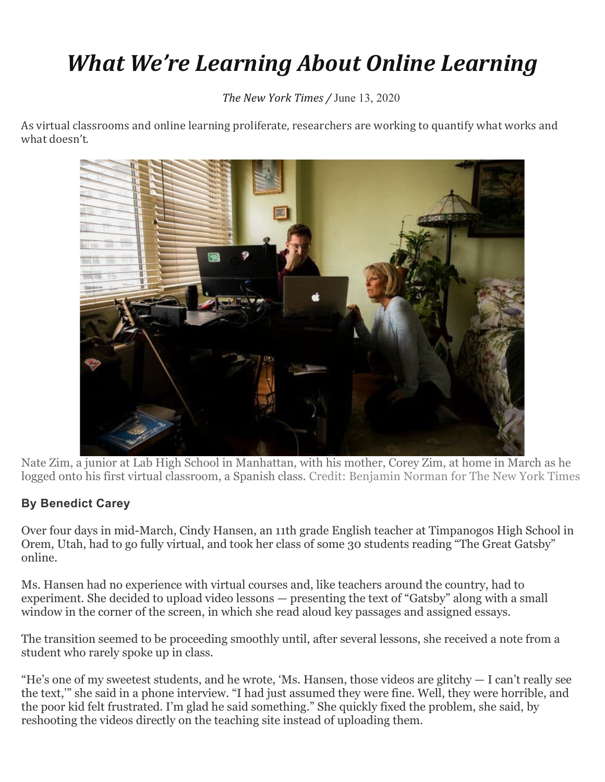## *What We're Learning About Online Learning*

*The New York Times /* June 13, 2020

As virtual classrooms and online learning proliferate, researchers are working to quantify what works and what doesn't.



Nate Zim, a junior at Lab High School in Manhattan, with his mother, Corey Zim, at home in March as he logged onto his first virtual classroom, a Spanish class. Credit: Benjamin Norman for The New York Times

## **By [Benedict](https://www.nytimes.com/by/benedict-carey) Carey**

Over four days in mid-March, Cindy Hansen, an 11th grade English teacher at Timpanogos High School in Orem, Utah, had to go fully virtual, and took her class of some 30 students reading "The Great Gatsby" online.

Ms. Hansen had no experience with virtual courses and, like teachers around the country, had to experiment. She decided to upload video lessons — presenting the text of "Gatsby" along with a small window in the corner of the screen, in which she read aloud key passages and assigned essays.

The transition seemed to be proceeding smoothly until, after several lessons, she received a note from a student who rarely spoke up in class.

"He's one of my sweetest students, and he wrote, 'Ms. Hansen, those videos are glitchy  $-1$  can't really see the text,'" she said in a phone interview. "I had just assumed they were fine. Well, they were horrible, and the poor kid felt frustrated. I'm glad he said something." She quickly fixed the problem, she said, by reshooting the videos directly on the teaching site instead of uploading them.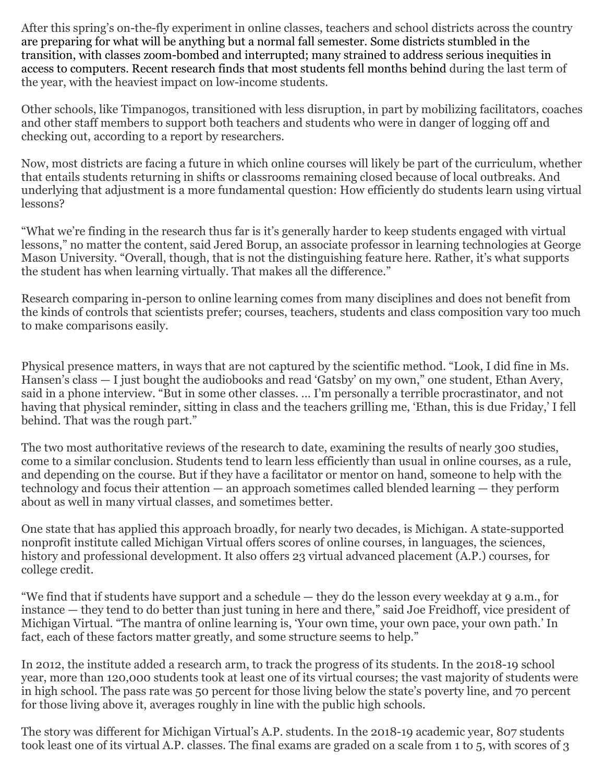After this spring's on-the-fly experiment in online classes, teachers and school districts across the country are preparing for what will be anything but a normal fall semester. Some districts stumbled in the transition, with classes zoom-bombed and interrupted; many strained to address serious inequities in access to computers. Recent research finds that most students fell months behind during the last term of the year, with the heaviest impact on low-income students.

Other schools, like Timpanogos, transitioned with less disruption, in part by mobilizing facilitators, coaches and other staff members to support both teachers and students who were in danger of logging off and checking out, according to a report by researchers.

Now, most districts are facing a future in which online courses will likely be part of the curriculum, whether that entails students returning in shifts or classrooms remaining closed because of local outbreaks. And underlying that adjustment is a more fundamental question: How efficiently do students learn using virtual lessons?

"What we're finding in the research thus far is it's generally harder to keep students engaged with virtual lessons," no matter the content, said Jered Borup, an associate professor in learning technologies at George Mason University. "Overall, though, that is not the distinguishing feature here. Rather, it's what supports the student has when learning virtually. That makes all the difference."

Research comparing in-person to online learning comes from many disciplines and does not benefit from the kinds of controls that scientists prefer; courses, teachers, students and class composition vary too much to make comparisons easily.

Physical presence matters, in ways that are not captured by the scientific method. "Look, I did fine in Ms. Hansen's class — I just bought the audiobooks and read 'Gatsby' on my own," one student, Ethan Avery, said in a phone interview. "But in some other classes. … I'm personally a terrible procrastinator, and not having that physical reminder, sitting in class and the teachers grilling me, 'Ethan, this is due Friday,' I fell behind. That was the rough part."

The two most authoritative reviews of the research to date, examining the results of nearly 300 studies, come to a similar conclusion. Students tend to learn less efficiently than usual in online courses, as a rule, and depending on the course. But if they have a facilitator or mentor on hand, someone to help with the technology and focus their attention — an approach sometimes called blended learning — they perform about as well in many virtual classes, and sometimes better.

One state that has applied this approach broadly, for nearly two decades, is Michigan. A state-supported nonprofit institute called Michigan Virtual offers scores of online courses, in languages, the sciences, history and professional development. It also offers 23 virtual advanced placement (A.P.) courses, for college credit.

"We find that if students have support and a schedule — they do the lesson every weekday at 9 a.m., for instance — they tend to do better than just tuning in here and there," said Joe Freidhoff, vice president of Michigan Virtual. "The mantra of online learning is, 'Your own time, your own pace, your own path.' In fact, each of these factors matter greatly, and some structure seems to help."

In 2012, the institute added a research arm, to track the progress of its students. In the 2018-19 school year, more than 120,000 students took at least one of its virtual courses; the vast majority of students were in high school. The pass rate was 50 percent for those living below the state's poverty line, and 70 percent for those living above it, averages roughly in line with the public high schools.

The story was different for Michigan Virtual's A.P. students. In the 2018-19 academic year, 807 students took least one of its virtual A.P. classes. The final exams are graded on a scale from 1 to 5, with scores of 3